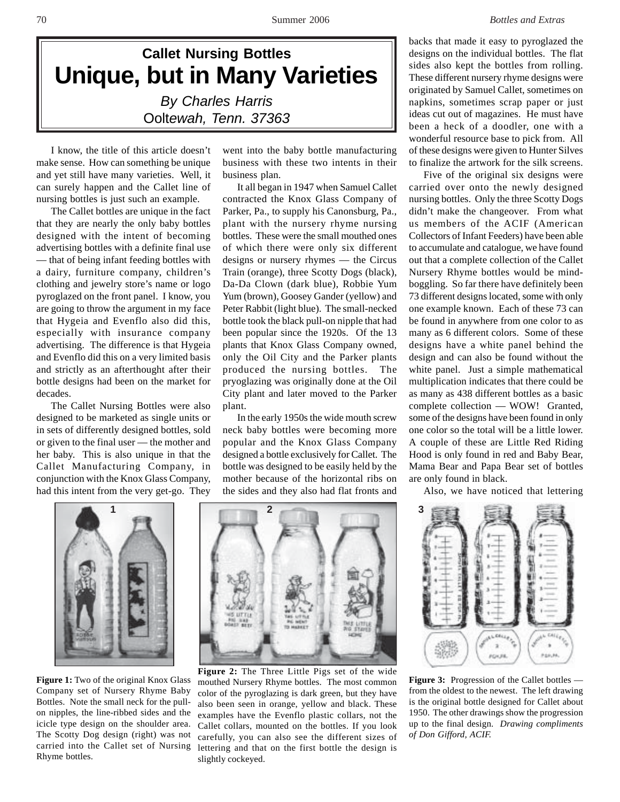

I know, the title of this article doesn't make sense. How can something be unique and yet still have many varieties. Well, it can surely happen and the Callet line of nursing bottles is just such an example.

The Callet bottles are unique in the fact that they are nearly the only baby bottles designed with the intent of becoming advertising bottles with a definite final use — that of being infant feeding bottles with a dairy, furniture company, children's clothing and jewelry store's name or logo pyroglazed on the front panel. I know, you are going to throw the argument in my face that Hygeia and Evenflo also did this, especially with insurance company advertising. The difference is that Hygeia and Evenflo did this on a very limited basis and strictly as an afterthought after their bottle designs had been on the market for decades.

The Callet Nursing Bottles were also designed to be marketed as single units or in sets of differently designed bottles, sold or given to the final user — the mother and her baby. This is also unique in that the Callet Manufacturing Company, in conjunction with the Knox Glass Company, had this intent from the very get-go. They



**Figure 1:** Two of the original Knox Glass Company set of Nursery Rhyme Baby Bottles. Note the small neck for the pullon nipples, the line-ribbed sides and the icicle type design on the shoulder area. The Scotty Dog design (right) was not carried into the Callet set of Nursing Rhyme bottles.

went into the baby bottle manufacturing business with these two intents in their business plan.

It all began in 1947 when Samuel Callet contracted the Knox Glass Company of Parker, Pa., to supply his Canonsburg, Pa., plant with the nursery rhyme nursing bottles. These were the small mouthed ones of which there were only six different designs or nursery rhymes — the Circus Train (orange), three Scotty Dogs (black), Da-Da Clown (dark blue), Robbie Yum Yum (brown), Goosey Gander (yellow) and Peter Rabbit (light blue). The small-necked bottle took the black pull-on nipple that had been popular since the 1920s. Of the 13 plants that Knox Glass Company owned, only the Oil City and the Parker plants produced the nursing bottles. The pryoglazing was originally done at the Oil City plant and later moved to the Parker plant.

In the early 1950s the wide mouth screw neck baby bottles were becoming more popular and the Knox Glass Company designed a bottle exclusively for Callet. The bottle was designed to be easily held by the mother because of the horizontal ribs on the sides and they also had flat fronts and

backs that made it easy to pyroglazed the designs on the individual bottles. The flat sides also kept the bottles from rolling. These different nursery rhyme designs were originated by Samuel Callet, sometimes on napkins, sometimes scrap paper or just ideas cut out of magazines. He must have been a heck of a doodler, one with a wonderful resource base to pick from. All of these designs were given to Hunter Silves to finalize the artwork for the silk screens.

Five of the original six designs were carried over onto the newly designed nursing bottles. Only the three Scotty Dogs didn't make the changeover. From what us members of the ACIF (American Collectors of Infant Feeders) have been able to accumulate and catalogue, we have found out that a complete collection of the Callet Nursery Rhyme bottles would be mindboggling. So far there have definitely been 73 different designs located, some with only one example known. Each of these 73 can be found in anywhere from one color to as many as 6 different colors. Some of these designs have a white panel behind the design and can also be found without the white panel. Just a simple mathematical multiplication indicates that there could be as many as 438 different bottles as a basic complete collection — WOW! Granted, some of the designs have been found in only one color so the total will be a little lower. A couple of these are Little Red Riding Hood is only found in red and Baby Bear, Mama Bear and Papa Bear set of bottles are only found in black.

Also, we have noticed that lettering



**Figure 3:** Progression of the Callet bottles from the oldest to the newest. The left drawing is the original bottle designed for Callet about 1950. The other drawings show the progression up to the final design. *Drawing compliments of Don Gifford, ACIF.*



**Figure 2:** The Three Little Pigs set of the wide mouthed Nursery Rhyme bottles. The most common color of the pyroglazing is dark green, but they have also been seen in orange, yellow and black. These examples have the Evenflo plastic collars, not the Callet collars, mounted on the bottles. If you look carefully, you can also see the different sizes of lettering and that on the first bottle the design is slightly cockeyed.